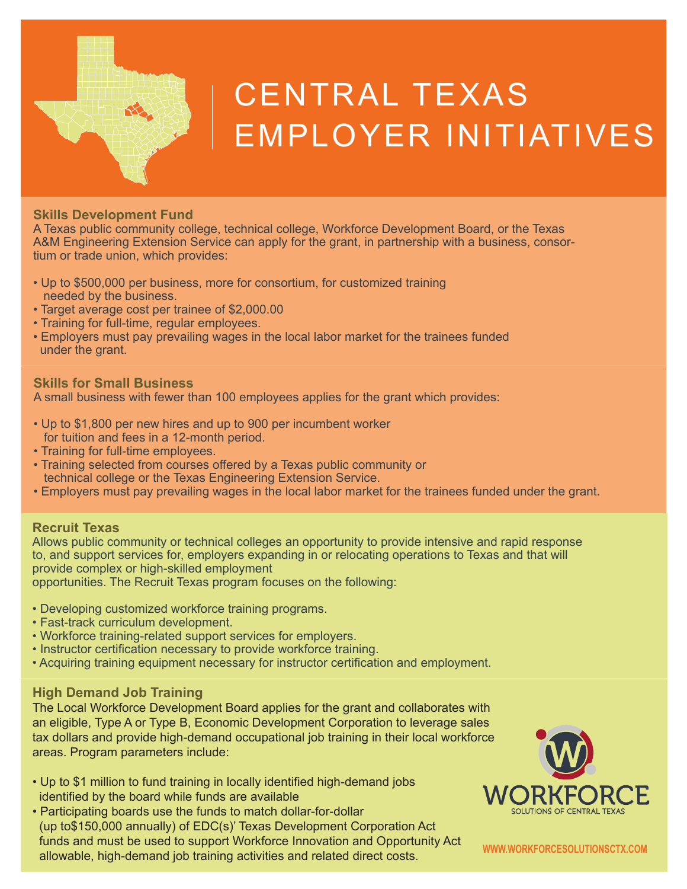

# CENTRAL TEXAS EMPLOYER INITIATIVES

#### **Skills Development Fund**

A Texas public community college, technical college, Workforce Development Board, or the Texas A&M Engineering Extension Service can apply for the grant, in partnership with a business, consortium or trade union, which provides:

- Up to \$500,000 per business, more for consortium, for customized training needed by the business.
- Target average cost per trainee of \$2,000.00
- Training for full-time, regular employees.
- Employers must pay prevailing wages in the local labor market for the trainees funded under the grant.

#### **Skills for Small Business**

A small business with fewer than 100 employees applies for the grant which provides:

- Up to \$1,800 per new hires and up to 900 per incumbent worker for tuition and fees in a 12-month period.
- Training for full-time employees.
- Training selected from courses offered by a Texas public community or technical college or the Texas Engineering Extension Service.
- Employers must pay prevailing wages in the local labor market for the trainees funded under the grant.

### **Recruit Texas**

Allows public community or technical colleges an opportunity to provide intensive and rapid response to, and support services for, employers expanding in or relocating operations to Texas and that will provide complex or high-skilled employment

opportunities. The Recruit Texas program focuses on the following:

- Developing customized workforce training programs.
- Fast-track curriculum development.
- Workforce training-related support services for employers.
- Instructor certification necessary to provide workforce training.
- Acquiring training equipment necessary for instructor certification and employment.

# **High Demand Job Training**

The Local Workforce Development Board applies for the grant and collaborates with an eligible, Type A or Type B, Economic Development Corporation to leverage sales tax dollars and provide high-demand occupational job training in their local workforce areas. Program parameters include:

- Up to \$1 million to fund training in locally identified high-demand jobs identified by the board while funds are available
- Participating boards use the funds to match dollar-for-dollar (up to\$150,000 annually) of EDC(s)' Texas Development Corporation Act funds and must be used to support Workforce Innovation and Opportunity Act allowable, high-demand job training activities and related direct costs.



**WWW.WORKFORCESOLUTIONSCTX.COM**